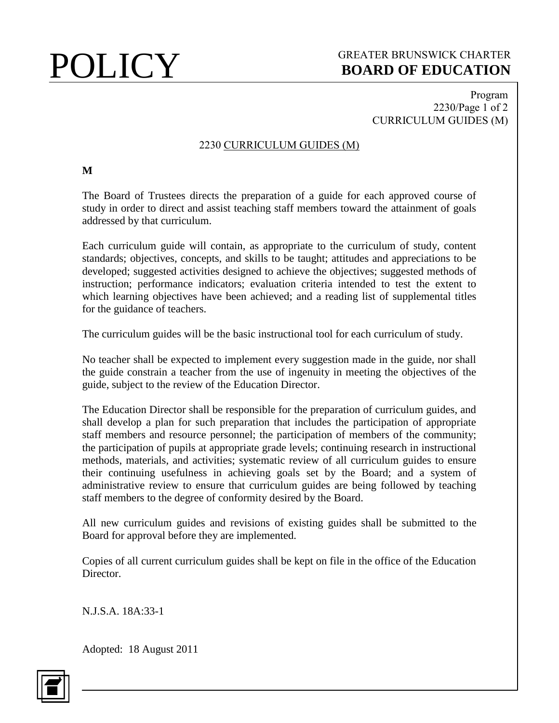## POLICY GREATER BRUNSWICK CHARTER<br>BOARD OF EDUCATION **BOARD OF EDUCATION**

### Program 2230/Page 1 of 2 CURRICULUM GUIDES (M)

### 2230 CURRICULUM GUIDES (M)

### **M**

The Board of Trustees directs the preparation of a guide for each approved course of study in order to direct and assist teaching staff members toward the attainment of goals addressed by that curriculum.

Each curriculum guide will contain, as appropriate to the curriculum of study, content standards; objectives, concepts, and skills to be taught; attitudes and appreciations to be developed; suggested activities designed to achieve the objectives; suggested methods of instruction; performance indicators; evaluation criteria intended to test the extent to which learning objectives have been achieved; and a reading list of supplemental titles for the guidance of teachers.

The curriculum guides will be the basic instructional tool for each curriculum of study.

No teacher shall be expected to implement every suggestion made in the guide, nor shall the guide constrain a teacher from the use of ingenuity in meeting the objectives of the guide, subject to the review of the Education Director.

The Education Director shall be responsible for the preparation of curriculum guides, and shall develop a plan for such preparation that includes the participation of appropriate staff members and resource personnel; the participation of members of the community; the participation of pupils at appropriate grade levels; continuing research in instructional methods, materials, and activities; systematic review of all curriculum guides to ensure their continuing usefulness in achieving goals set by the Board; and a system of administrative review to ensure that curriculum guides are being followed by teaching staff members to the degree of conformity desired by the Board.

All new curriculum guides and revisions of existing guides shall be submitted to the Board for approval before they are implemented.

Copies of all current curriculum guides shall be kept on file in the office of the Education Director.

N.J.S.A. 18A:33-1

Adopted: 18 August 2011